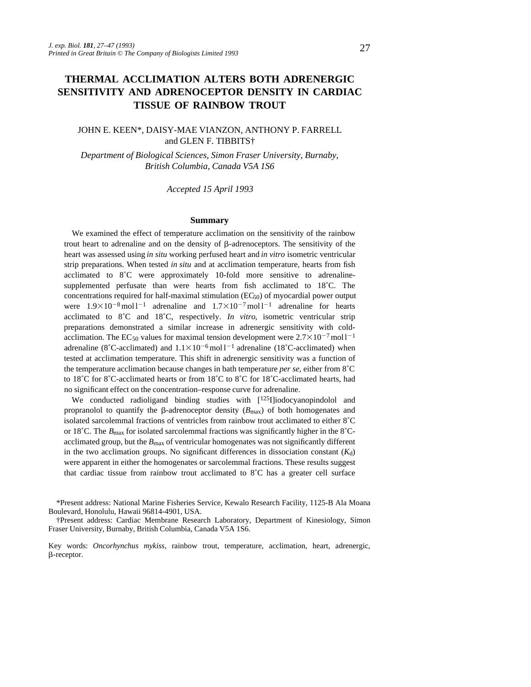# **THERMAL ACCLIMATION ALTERS BOTH ADRENERGIC SENSITIVITY AND ADRENOCEPTOR DENSITY IN CARDIAC TISSUE OF RAINBOW TROUT**

# JOHN E. KEEN\*, DAISY-MAE VIANZON, ANTHONY P. FARRELL and GLEN F. TIBBITS†

*Department of Biological Sciences, Simon Fraser University, Burnaby, British Columbia, Canada V5A 1S6*

*Accepted 15 April 1993*

#### **Summary**

We examined the effect of temperature acclimation on the sensitivity of the rainbow trout heart to adrenaline and on the density of  $\beta$ -adrenoceptors. The sensitivity of the heart was assessed using *in situ* working perfused heart and *in vitro* isometric ventricular strip preparations. When tested *in situ* and at acclimation temperature, hearts from fish acclimated to 8˚C were approximately 10-fold more sensitive to adrenalinesupplemented perfusate than were hearts from fish acclimated to 18˚C. The concentrations required for half-maximal stimulation  $(EC_{50})$  of myocardial power output were  $1.9\times10^{-8}$  mol l<sup>-1</sup> adrenaline and  $1.7\times10^{-7}$  mol l<sup>-1</sup> adrenaline for hearts acclimated to 8˚C and 18˚C, respectively. *In vitro*, isometric ventricular strip preparations demonstrated a similar increase in adrenergic sensitivity with coldacclimation. The EC<sub>50</sub> values for maximal tension development were  $2.7\times10^{-7}$  moll<sup>-1</sup> adrenaline (8°C-acclimated) and  $1.1 \times 10^{-6}$  mol l<sup>-1</sup> adrenaline (18°C-acclimated) when tested at acclimation temperature. This shift in adrenergic sensitivity was a function of the temperature acclimation because changes in bath temperature *per se*, either from 8˚C to 18˚C for 8˚C-acclimated hearts or from 18˚C to 8˚C for 18˚C-acclimated hearts, had no significant effect on the concentration–response curve for adrenaline.

We conducted radioligand binding studies with [125I]iodocyanopindolol and propranolol to quantify the  $\beta$ -adrenoceptor density ( $B_{\text{max}}$ ) of both homogenates and isolated sarcolemmal fractions of ventricles from rainbow trout acclimated to either 8˚C or 18<sup> $\degree$ </sup>C. The  $B_{\rm max}$  for isolated sarcolemmal fractions was significantly higher in the 8 $\degree$ Cacclimated group, but the  $B_{\text{max}}$  of ventricular homogenates was not significantly different in the two acclimation groups. No significant differences in dissociation constant  $(K_d)$ were apparent in either the homogenates or sarcolemmal fractions. These results suggest that cardiac tissue from rainbow trout acclimated to 8˚C has a greater cell surface

\*Present address: National Marine Fisheries Service, Kewalo Research Facility, 1125-B Ala Moana Boulevard, Honolulu, Hawaii 96814-4901, USA.

†Present address: Cardiac Membrane Research Laboratory, Department of Kinesiology, Simon Fraser University, Burnaby, British Columbia, Canada V5A 1S6.

Key words: *Oncorhynchus mykiss*, rainbow trout, temperature, acclimation, heart, adrenergic, b-receptor.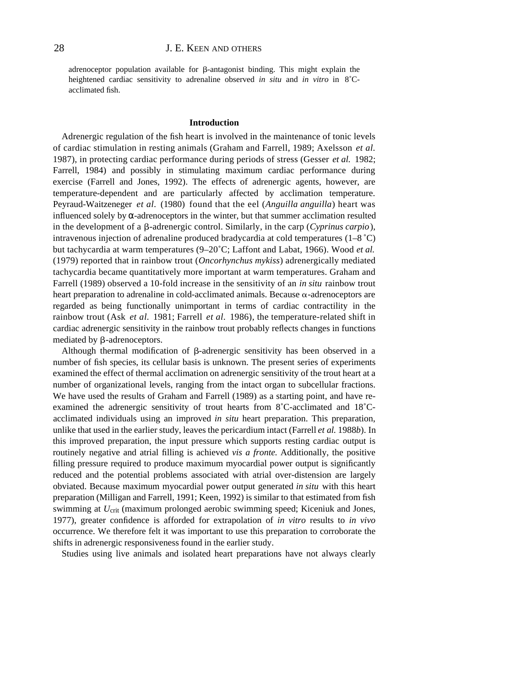adrenoceptor population available for  $\beta$ -antagonist binding. This might explain the heightened cardiac sensitivity to adrenaline observed *in situ* and *in vitro* in 8˚Cacclimated fish.

#### **Introduction**

Adrenergic regulation of the fish heart is involved in the maintenance of tonic levels of cardiac stimulation in resting animals (Graham and Farrell, 1989; Axelsson *et al.* 1987), in protecting cardiac performance during periods of stress (Gesser *et al.* 1982; Farrell, 1984) and possibly in stimulating maximum cardiac performance during exercise (Farrell and Jones, 1992). The effects of adrenergic agents, however, are temperature-dependent and are particularly affected by acclimation temperature. Peyraud-Waitzeneger *et al.* (1980) found that the eel (*Anguilla anguilla*) heart was influenced solely by -adrenoceptors in the winter, but that summer acclimation resulted in the development of a  $\beta$ -adrenergic control. Similarly, in the carp (*Cyprinus carpio*), intravenous injection of adrenaline produced bradycardia at cold temperatures  $(1-8 \degree C)$ but tachycardia at warm temperatures (9–20˚C; Laffont and Labat, 1966). Wood *et al.* (1979) reported that in rainbow trout (*Oncorhynchus mykiss*) adrenergically mediated tachycardia became quantitatively more important at warm temperatures. Graham and Farrell (1989) observed a 10-fold increase in the sensitivity of an *in situ* rainbow trout heart preparation to adrenaline in cold-acclimated animals. Because  $\alpha$ -adrenoceptors are regarded as being functionally unimportant in terms of cardiac contractility in the rainbow trout (Ask *et al.* 1981; Farrell *et al.* 1986), the temperature-related shift in cardiac adrenergic sensitivity in the rainbow trout probably reflects changes in functions mediated by  $\beta$ -adrenoceptors.

Although thermal modification of  $\beta$ -adrenergic sensitivity has been observed in a number of fish species, its cellular basis is unknown. The present series of experiments examined the effect of thermal acclimation on adrenergic sensitivity of the trout heart at a number of organizational levels, ranging from the intact organ to subcellular fractions. We have used the results of Graham and Farrell (1989) as a starting point, and have reexamined the adrenergic sensitivity of trout hearts from 8˚C-acclimated and 18˚Cacclimated individuals using an improved *in situ* heart preparation. This preparation, unlike that used in the earlier study, leaves the pericardium intact (Farrell *et al.* 1988*b*). In this improved preparation, the input pressure which supports resting cardiac output is routinely negative and atrial filling is achieved *vis a fronte*. Additionally, the positive filling pressure required to produce maximum myocardial power output is significantly reduced and the potential problems associated with atrial over-distension are largely obviated. Because maximum myocardial power output generated *in situ* with this heart preparation (Milligan and Farrell, 1991; Keen, 1992) is similar to that estimated from fish swimming at *U*crit (maximum prolonged aerobic swimming speed; Kiceniuk and Jones, 1977), greater confidence is afforded for extrapolation of *in vitro* results to *in vivo* occurrence. We therefore felt it was important to use this preparation to corroborate the shifts in adrenergic responsiveness found in the earlier study.

Studies using live animals and isolated heart preparations have not always clearly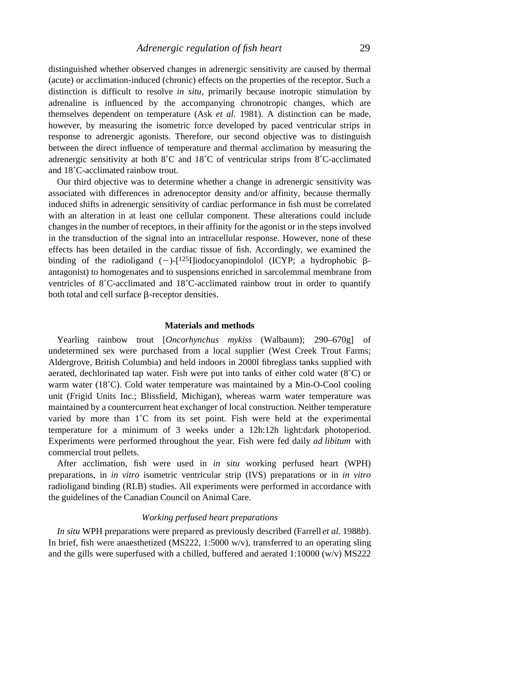distinguished whether observed changes in adrenergic sensitivity are caused by thermal (acute) or acclimation-induced (chronic) effects on the properties of the receptor. Such a distinction is difficult to resolve *in situ*, primarily because inotropic stimulation by adrenaline is influenced by the accompanying chronotropic changes, which are themselves dependent on temperature (Ask *et al.* 1981). A distinction can be made, however, by measuring the isometric force developed by paced ventricular strips in response to adrenergic agonists. Therefore, our second objective was to distinguish between the direct influence of temperature and thermal acclimation by measuring the adrenergic sensitivity at both 8˚C and 18˚C of ventricular strips from 8˚C-acclimated and 18˚C-acclimated rainbow trout.

Our third objective was to determine whether a change in adrenergic sensitivity was associated with differences in adrenoceptor density and/or affinity, because thermally induced shifts in adrenergic sensitivity of cardiac performance in fish must be correlated with an alteration in at least one cellular component. These alterations could include changes in the number of receptors, in their affinity for the agonist or in the steps involved in the transduction of the signal into an intracellular response. However, none of these effects has been detailed in the cardiac tissue of fish. Accordingly, we examined the binding of the radioligand  $(-)$ -[125I]iodocyanopindolol (ICYP; a hydrophobic  $\beta$ antagonist) to homogenates and to suspensions enriched in sarcolemmal membrane from ventricles of 8˚C-acclimated and 18˚C-acclimated rainbow trout in order to quantify both total and cell surface  $\beta$ -receptor densities.

#### **Materials and methods**

Yearling rainbow trout [*Oncorhynchus mykiss* (Walbaum); 290–670g] of undetermined sex were purchased from a local supplier (West Creek Trout Farms; Aldergrove, British Columbia) and held indoors in 2000l fibreglass tanks supplied with aerated, dechlorinated tap water. Fish were put into tanks of either cold water (8˚C) or warm water (18<sup>°</sup>C). Cold water temperature was maintained by a Min-O-Cool cooling unit (Frigid Units Inc.; Blissfield, Michigan), whereas warm water temperature was maintained by a countercurrent heat exchanger of local construction. Neither temperature varied by more than 1˚C from its set point. Fish were held at the experimental temperature for a minimum of 3 weeks under a 12h:12h light:dark photoperiod. Experiments were performed throughout the year. Fish were fed daily *ad libitum* with commercial trout pellets.

After acclimation, fish were used in *in situ* working perfused heart (WPH) preparations, in *in vitro* isometric ventricular strip (IVS) preparations or in *in vitro* radioligand binding (RLB) studies. All experiments were performed in accordance with the guidelines of the Canadian Council on Animal Care.

#### *Working perfused heart preparations*

*In situ* WPH preparations were prepared as previously described (Farrell *et al.* 1988*b*). In brief, fish were anaesthetized (MS222, 1:5000 w/v), transferred to an operating sling and the gills were superfused with a chilled, buffered and aerated 1:10000 (w/v) MS222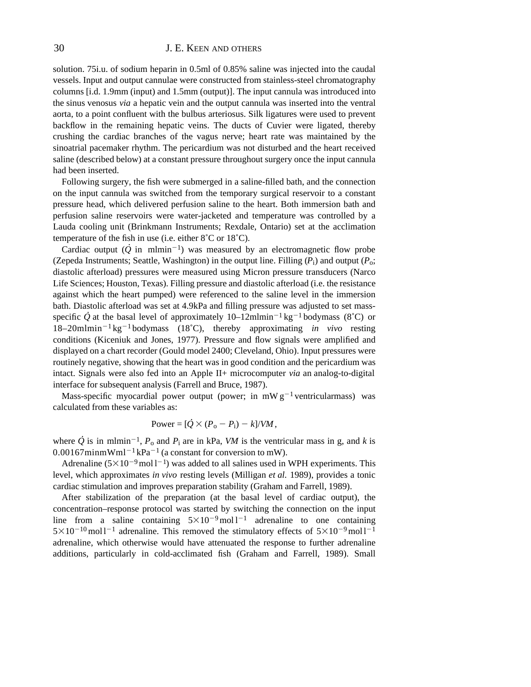# 30 J. E. KEEN AND OTHERS

solution. 75i.u. of sodium heparin in 0.5ml of 0.85% saline was injected into the caudal vessels. Input and output cannulae were constructed from stainless-steel chromatography columns [i.d. 1.9mm (input) and 1.5mm (output)]. The input cannula was introduced into the sinus venosus *via* a hepatic vein and the output cannula was inserted into the ventral aorta, to a point confluent with the bulbus arteriosus. Silk ligatures were used to prevent backflow in the remaining hepatic veins. The ducts of Cuvier were ligated, thereby crushing the cardiac branches of the vagus nerve; heart rate was maintained by the sinoatrial pacemaker rhythm. The pericardium was not disturbed and the heart received saline (described below) at a constant pressure throughout surgery once the input cannula had been inserted.

Following surgery, the fish were submerged in a saline-filled bath, and the connection on the input cannula was switched from the temporary surgical reservoir to a constant pressure head, which delivered perfusion saline to the heart. Both immersion bath and perfusion saline reservoirs were water-jacketed and temperature was controlled by a Lauda cooling unit (Brinkmann Instruments; Rexdale, Ontario) set at the acclimation temperature of the fish in use (i.e. either  $8^{\circ}$ C or  $18^{\circ}$ C).

Cardiac output  $(Q$  in mlmin<sup>-1</sup>) was measured by an electromagnetic flow probe (Zepeda Instruments; Seattle, Washington) in the output line. Filling  $(P_i)$  and output  $(P_o;$ diastolic afterload) pressures were measured using Micron pressure transducers (Narco Life Sciences; Houston, Texas). Filling pressure and diastolic afterload (i.e. the resistance against which the heart pumped) were referenced to the saline level in the immersion bath. Diastolic afterload was set at 4.9kPa and filling pressure was adjusted to set massspecific  $\dot{Q}$  at the basal level of approximately 10–12mlmin<sup>-1</sup> kg<sup>-1</sup> bodymass (8°C) or  $18-20$ mlmin<sup>-1</sup> kg<sup>-1</sup> bodymass (18<sup>°</sup>C), thereby approximating *in vivo* resting conditions (Kiceniuk and Jones, 1977). Pressure and flow signals were amplified and displayed on a chart recorder (Gould model 2400; Cleveland, Ohio). Input pressures were routinely negative, showing that the heart was in good condition and the pericardium was intact. Signals were also fed into an Apple II+ microcomputer *via* an analog-to-digital interface for subsequent analysis (Farrell and Bruce, 1987).

Mass-specific myocardial power output (power; in mW  $g^{-1}$  ventricularmass) was calculated from these variables as:

Power = 
$$
[\dot{Q} \times (P_o - P_i) - k]/VM,
$$

where *Q*  $\dot{Q}$  is in mlmin<sup>-1</sup>,  $P_o$  and  $P_i$  are in kPa, *VM* is the ventricular mass in g, and *k* is  $0.00167$ minmWml<sup>-1</sup>kPa<sup>-1</sup> (a constant for conversion to mW).

Adrenaline  $(5 \times 10^{-9} \text{mol l}^{-1})$  was added to all salines used in WPH experiments. This level, which approximates *in vivo* resting levels (Milligan *et al.* 1989), provides a tonic cardiac stimulation and improves preparation stability (Graham and Farrell, 1989).

After stabilization of the preparation (at the basal level of cardiac output), the concentration–response protocol was started by switching the connection on the input line from a saline containing  $5\times10^{-9}$  mol l<sup>-1</sup> adrenaline to one containing  $5\times10^{-10}$  mol l<sup>-1</sup> adrenaline. This removed the stimulatory effects of  $5\times10^{-9}$  mol l<sup>-1</sup> adrenaline, which otherwise would have attenuated the response to further adrenaline additions, particularly in cold-acclimated fish (Graham and Farrell, 1989). Small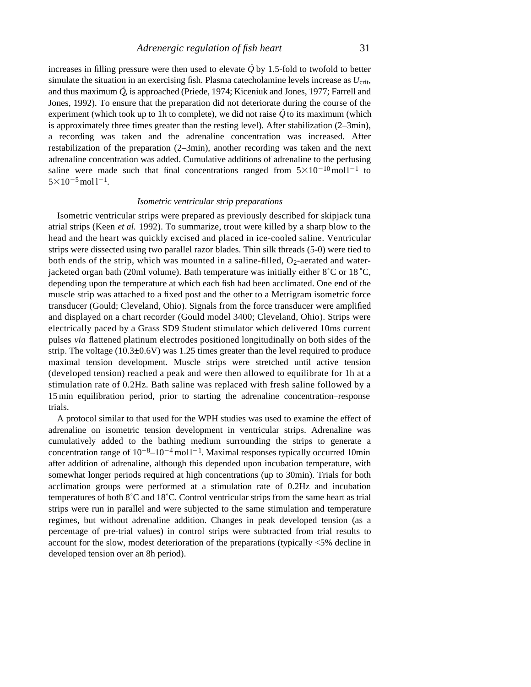increases in filling pressure were then used to elevate *Q* . by 1.5-fold to twofold to better simulate the situation in an exercising fish. Plasma catecholamine levels increase as *U*<sub>crit</sub>, and thus maximum *Q* , is approached (Priede, 1974; Kiceniuk and Jones, 1977; Farrell and Jones, 1992). To ensure that the preparation did not deteriorate during the course of the . experiment (which took up to 1h to complete), we did not raise  $\dot{Q}$  to its maximum (which is approximately three times greater than the resting level). After stabilization (2–3min), a recording was taken and the adrenaline concentration was increased. After restabilization of the preparation (2–3min), another recording was taken and the next adrenaline concentration was added. Cumulative additions of adrenaline to the perfusing saline were made such that final concentrations ranged from  $5 \times 10^{-10}$  moll<sup>-1</sup> to  $5 \times 10^{-5}$  mol  $1^{-1}$ .

### *Isometric ventricular strip preparations*

Isometric ventricular strips were prepared as previously described for skipjack tuna atrial strips (Keen *et al.* 1992). To summarize, trout were killed by a sharp blow to the head and the heart was quickly excised and placed in ice-cooled saline. Ventricular strips were dissected using two parallel razor blades. Thin silk threads (5-0) were tied to both ends of the strip, which was mounted in a saline-filled,  $O<sub>2</sub>$ -aerated and waterjacketed organ bath (20ml volume). Bath temperature was initially either  $8^{\circ}$ C or 18 $^{\circ}$ C, depending upon the temperature at which each fish had been acclimated. One end of the muscle strip was attached to a fixed post and the other to a Metrigram isometric force transducer (Gould; Cleveland, Ohio). Signals from the force transducer were amplifie d and displayed on a chart recorder (Gould model 3400; Cleveland, Ohio). Strips were electrically paced by a Grass SD9 Student stimulator which delivered 10ms current pulses *via* flattened platinum electrodes positioned longitudinally on both sides of the strip. The voltage  $(10.3\pm0.6V)$  was 1.25 times greater than the level required to produce maximal tension development. Muscle strips were stretched until active tension (developed tension) reached a peak and were then allowed to equilibrate for 1h at a stimulation rate of 0.2Hz. Bath saline was replaced with fresh saline followed by a 1 5 min equilibration period, prior to starting the adrenaline concentration–response trials.

A protocol similar to that used for the WPH studies was used to examine the effect of adrenaline on isometric tension development in ventricular strips. Adrenaline was cumulatively added to the bathing medium surrounding the strips to generate a concentration range of  $10^{-8}$ – $10^{-4}$  mol l<sup>-1</sup>. Maximal responses typically occurred 10min after addition of adrenaline, although this depended upon incubation temperature, with somewhat longer periods required at high concentrations (up to 30min). Trials for both acclimation groups were performed at a stimulation rate of 0.2Hz and incubation temperatures of both 8˚C and 18˚C. Control ventricular strips from the same heart as trial strips were run in parallel and were subjected to the same stimulation and temperature regimes, but without adrenaline addition. Changes in peak developed tension (as a percentage of pre-trial values) in control strips were subtracted from trial results to account for the slow, modest deterioration of the preparations (typically <5% decline in developed tension over an 8h period).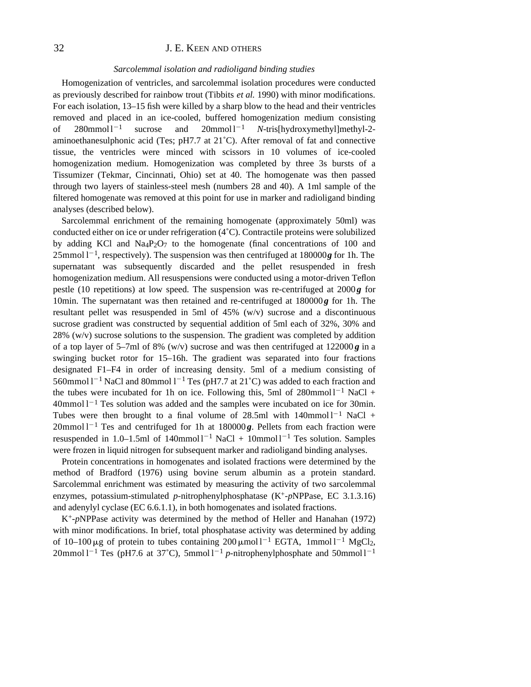# 32 **J. E. KEEN AND OTHERS**

#### *Sarcolemmal isolation and radioligand binding studies*

Homogenization of ventricles, and sarcolemmal isolation procedures were conducted as previously described for rainbow trout (Tibbits *et al.* 1990) with minor modifications. For each isolation, 13–15 fish were killed by a sharp blow to the head and their ventricles removed and placed in an ice-cooled, buffered homogenization medium consisting of  $280$ mmol  $1^{-1}$ sucrose and  $20$ mmol  $1^{-1}$ <sup>2</sup><sup>1</sup> *N*-tris[hydroxymethyl]methyl-2 aminoethanesulphonic acid (Tes; pH7.7 at  $21^{\circ}$ C). After removal of fat and connective tissue, the ventricles were minced with scissors in 10 volumes of ice-cooled homogenization medium. Homogenization was completed by three 3s bursts of a Tissumizer (Tekmar, Cincinnati, Ohio) set at 40. The homogenate was then passed through two layers of stainless-steel mesh (numbers 28 and 40). A 1ml sample of the filtered homogenate was removed at this point for use in marker and radioligand binding analyses (described below).

Sarcolemmal enrichment of the remaining homogenate (approximately 50ml) was conducted either on ice or under refrigeration (4˚C). Contractile proteins were solubilized by adding KCl and  $Na_4P_2O_7$  to the homogenate (final concentrations of 100 and  $25$ mmol  $1<sup>-1</sup>$ , respectively). The suspension was then centrifuged at 180000 $g$  for 1h. The supernatant was subsequently discarded and the pellet resuspended in fresh homogenization medium. All resuspensions were conducted using a motor-driven Teflon pestle (10 repetitions) at low speed. The suspension was re-centrifuged at  $2000g$  for 10min. The supernatant was then retained and re-centrifuged at 180000g for 1h. The resultant pellet was resuspended in 5ml of  $45\%$  (w/v) sucrose and a discontinuous sucrose gradient was constructed by sequential addition of 5ml each of 32%, 30% and  $28\%$  (w/v) sucrose solutions to the suspension. The gradient was completed by addition of a top layer of 5–7ml of 8% (w/v) sucrose and was then centrifuged at  $122000g$  in a swinging bucket rotor for 15–16h. The gradient was separated into four fractions designated F1–F4 in order of increasing density. 5ml of a medium consisting of 560mmol  $1^{-1}$  NaCl and 80mmol  $1^{-1}$  Tes (pH7.7 at 21<sup>°</sup>C) was added to each fraction and the tubes were incubated for 1h on ice. Following this, 5ml of  $280$ mmol  $1^{-1}$  NaCl +  $40$ mmol  $1^{-1}$  Tes solution was added and the samples were incubated on ice for 30min. Tubes were then brought to a final volume of 28.5ml with  $140$ mmol  $1^{-1}$  NaCl +  $20$ mmol  $1^{-1}$  Tes and centrifuged for 1h at 180000 $g$ . Pellets from each fraction were resuspended in 1.0–1.5ml of  $140$ mmol $1^{-1}$  NaCl +  $10$ mmol $1^{-1}$  Tes solution. Samples were frozen in liquid nitrogen for subsequent marker and radioligand binding analyses.

Protein concentrations in homogenates and isolated fractions were determined by the method of Bradford (1976) using bovine serum albumin as a protein standard. Sarcolemmal enrichment was estimated by measuring the activity of two sarcolemmal enzymes, potassium-stimulated *p*-nitrophenylphosphatase (K+-*p*NPPase, EC 3.1.3.16) and adenylyl cyclase (EC 6.6.1.1), in both homogenates and isolated fractions.

K+-*p*NPPase activity was determined by the method of Heller and Hanahan (1972) with minor modifications. In brief, total phosphatase activity was determined by adding of  $10-100 \,\mu$ g of protein to tubes containing  $200 \,\mu$ mol l<sup>-1</sup> EGTA, 1mmol l<sup>-1</sup> MgCl<sub>2</sub>, 20mmol l<sup>-1</sup> Tes (pH7.6 at 37°C), 5mmol l<sup>-1</sup> *p*-nitrophenylphosphate and 50mmol l<sup>-1</sup>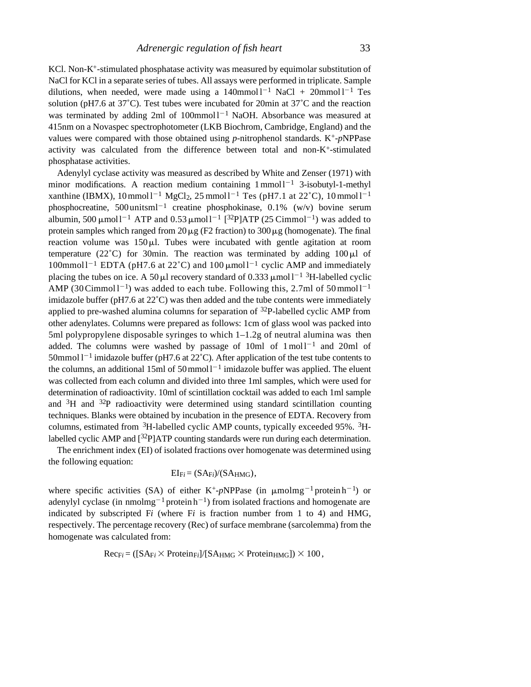KCl. Non-K+-stimulated phosphatase activity was measured by equimolar substitution of NaCl for KCl in a separate series of tubes. All assays were performed in triplicate. Sample dilutions, when needed, were made using a  $140$ mmol  $1^{-1}$  NaCl +  $20$ mmol  $1^{-1}$  Tes solution (pH7.6 at  $37^{\circ}$ C). Test tubes were incubated for 20min at  $37^{\circ}$ C and the reaction was terminated by adding 2ml of  $100$ mmol  $1^{-1}$  NaOH. Absorbance was measured at 415nm on a Novaspec spectrophotometer (LKB Biochrom, Cambridge, England) and the values were compared with those obtained using *p*-nitrophenol standards. K+-*p*NPPase activity was calculated from the difference between total and non- $K^+$ -stimulated phosphatase activities.

Adenylyl cyclase activity was measured as described by White and Zenser (1971) with minor modifications. A reaction medium containing  $1$  mmol $1^{-1}$  3-isobutyl-1-methyl xanthine (IBMX),  $10 \text{mmol} 1^{-1} \text{ MgCl}_2$ ,  $25 \text{mmol} 1^{-1} \text{ Tes}$  (pH7.1 at  $22^{\circ}$ C),  $10 \text{mmol} 1^{-1}$ phosphocreatine,  $500 \text{ unitsml}^{-1}$  creatine phosphokinase, 0.1% (w/v) bovine serum albumin, 500  $\mu$ moll<sup>-1</sup> ATP and 0.53  $\mu$ moll<sup>-1</sup> [<sup>32</sup>P]ATP (25 Cimmol<sup>-1</sup>) was added to protein samples which ranged from  $20 \mu$ g (F2 fraction) to  $300 \mu$ g (homogenate). The final reaction volume was  $150 \mu$ . Tubes were incubated with gentle agitation at room temperature (22 $^{\circ}$ C) for 30min. The reaction was terminated by adding 100  $\mu$ l of  $100$ mmoll<sup>-1</sup> EDTA (pH7.6 at 22°C) and  $100 \mu$ moll<sup>-1</sup> cyclic AMP and immediately placing the tubes on ice. A 50  $\mu$ l recovery standard of 0.333  $\mu$ mol l<sup>-1</sup> <sup>3</sup>H-labelled cyclic AMP (30 Cimmol  $l^{-1}$ ) was added to each tube. Following this, 2.7ml of 50 mmol  $l^{-1}$ imidazole buffer (pH7.6 at 22˚C) was then added and the tube contents were immediately applied to pre-washed alumina columns for separation of  $32P$ -labelled cyclic AMP from other adenylates. Columns were prepared as follows: 1cm of glass wool was packed into 5ml polypropylene disposable syringes to which 1–1.2g of neutral alumina was then added. The columns were washed by passage of 10ml of  $1 \text{ mol}^{-1}$  and 20ml of 50mmol  $1^{-1}$  imidazole buffer (pH7.6 at 22 $^{\circ}$ C). After application of the test tube contents to the columns, an additional 15ml of 50 mmol  $l^{-1}$  imidazole buffer was applied. The eluent was collected from each column and divided into three 1ml samples, which were used for determination of radioactivity. 10ml of scintillation cocktail was added to each 1ml sample and  ${}^{3}H$  and  ${}^{32}P$  radioactivity were determined using standard scintillation counting techniques. Blanks were obtained by incubation in the presence of EDTA. Recovery from columns, estimated from  ${}^{3}H$ -labelled cyclic AMP counts, typically exceeded 95%.  ${}^{3}H$ labelled cyclic AMP and  $[32P]ATP$  counting standards were run during each determination.

The enrichment index (EI) of isolated fractions over homogenate was determined using the following equation:

$$
EI_{Fi} = (SA_{Fi})/(SA_{HMG}),
$$

where specific activities (SA) of either K<sup>+</sup>-pNPPase (in  $\mu$ molmg<sup>-1</sup> protein h<sup>-1</sup>) or adenylyl cyclase (in nmolmg<sup>-1</sup> protein  $h^{-1}$ ) from isolated fractions and homogenate are indicated by subscripted F*i* (where F*i* is fraction number from 1 to 4) and HMG, respectively. The percentage recovery (Rec) of surface membrane (sarcolemma) from the homogenate was calculated from:

$$
Rec_{Fi} = ([SA_{Fi} \times Protein_{Fi}]/[SA_{HMG} \times Protein_{HMG}]) \times 100,
$$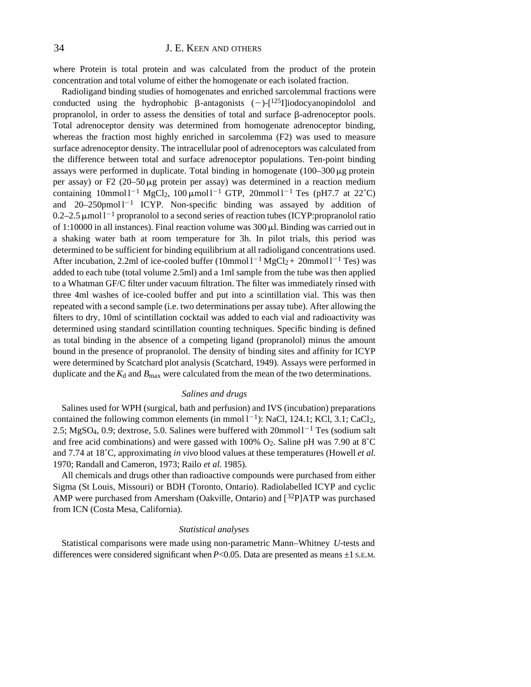where Protein is total protein and was calculated from the product of the protein concentration and total volume of either the homogenate or each isolated fraction.

Radioligand binding studies of homogenates and enriched sarcolemmal fractions were conducted using the hydrophobic  $\beta$ -antagonists  $(-)$ - $\lceil^{125}$ I]iodocyanopindolol and propranolol, in order to assess the densities of total and surface  $\beta$ -adrenoceptor pools. Total adrenoceptor density was determined from homogenate adrenoceptor binding, whereas the fraction most highly enriched in sarcolemma (F2) was used to measure surface adrenoceptor density. The intracellular pool of adrenoceptors was calculated from the difference between total and surface adrenoceptor populations. Ten-point binding assays were performed in duplicate. Total binding in homogenate  $(100-300 \,\mu g)$  protein per assay) or F2 (20–50 $\mu$ g protein per assay) was determined in a reaction medium containing  $10$ mmol l<sup>-1</sup> MgCl<sub>2</sub>,  $100 \mu$ mol l<sup>-1</sup> GTP,  $20$ mmol l<sup>-1</sup> Tes (pH7.7 at 22<sup>°</sup>C) and  $20-250$ pmol  $1^{-1}$  ICYP. Non-specific binding was assayed by addition of  $0.2-2.5$   $\mu$ mol l<sup>-1</sup> propranolol to a second series of reaction tubes (ICYP:propranolol ratio of 1:10000 in all instances). Final reaction volume was  $300 \mu$ . Binding was carried out in a shaking water bath at room temperature for 3h. In pilot trials, this period was determined to be sufficient for binding equilibrium at all radioligand concentrations used. After incubation, 2.2ml of ice-cooled buffer  $(10 \text{mmol 1}^{-1} \text{ MgCl}_2 + 20 \text{mmol 1}^{-1} \text{ Tes})$  was added to each tube (total volume 2.5ml) and a 1ml sample from the tube was then applied to a Whatman GF/C filter under vacuum filtration. The filter was immediately rinsed with three 4ml washes of ice-cooled buffer and put into a scintillation vial. This was then repeated with a second sample (i.e. two determinations per assay tube). After allowing the filters to dry, 10ml of scintillation cocktail was added to each vial and radioactivity was determined using standard scintillation counting techniques. Specific binding is defined as total binding in the absence of a competing ligand (propranolol) minus the amount bound in the presence of propranolol. The density of binding sites and affinity for ICYP were determined by Scatchard plot analysis (Scatchard, 1949). Assays were performed in duplicate and the  $K_d$  and  $B_{\text{max}}$  were calculated from the mean of the two determinations.

#### *Salines and drugs*

Salines used for WPH (surgical, bath and perfusion) and IVS (incubation) preparations contained the following common elements (in mmol  $1^{-1}$ ): NaCl, 124.1; KCl, 3.1; CaCl<sub>2</sub>, 2.5; MgSO<sub>4</sub>, 0.9; dextrose, 5.0. Salines were buffered with  $20$ mmol $1^{-1}$  Tes (sodium salt and free acid combinations) and were gassed with 100%  $O_2$ . Saline pH was 7.90 at 8°C and 7.74 at 18˚C, approximating *in vivo* blood values at these temperatures (Howell *et al.* 1970; Randall and Cameron, 1973; Railo *et al.* 1985).

All chemicals and drugs other than radioactive compounds were purchased from either Sigma (St Louis, Missouri) or BDH (Toronto, Ontario). Radiolabelled ICYP and cyclic AMP were purchased from Amersham (Oakville, Ontario) and  $[32P]ATP$  was purchased from ICN (Costa Mesa, California).

#### *Statistical analyses*

Statistical comparisons were made using non-parametric Mann–Whitney *U*-tests and differences were considered significant when  $P<0.05$ . Data are presented as means  $\pm 1$  S.E.M.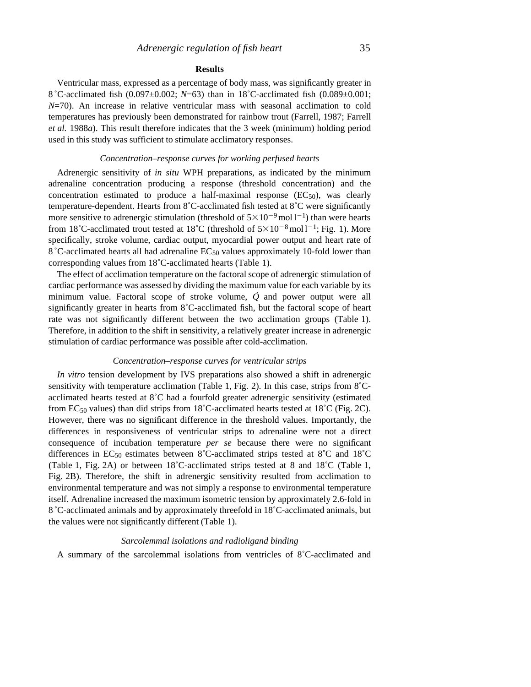#### **Results**

Ventricular mass, expressed as a percentage of body mass, was significantly greater in 8 ˚C-acclimated fish (0.097±0.002; *N*=63) than in 18˚C-acclimated fish (0.089±0.001; *N*=70). An increase in relative ventricular mass with seasonal acclimation to cold temperatures has previously been demonstrated for rainbow trout (Farrell, 1987; Farrell *et al.* 1988*a*). This result therefore indicates that the 3 week (minimum) holding period used in this study was sufficient to stimulate acclimatory responses.

### *Concentration–response curves for working perfused hearts*

Adrenergic sensitivity of *in situ* WPH preparations, as indicated by the minimum adrenaline concentration producing a response (threshold concentration) and the concentration estimated to produce a half-maximal response  $(EC_{50})$ , was clearly temperature-dependent. Hearts from 8˚C-acclimated fish tested at 8˚C were significantly more sensitive to adrenergic stimulation (threshold of  $5 \times 10^{-9}$  mol l<sup>-1</sup>) than were hearts from 18°C-acclimated trout tested at 18°C (threshold of  $5 \times 10^{-8}$  mol l<sup>-1</sup>; Fig. 1). More specifically, stroke volume, cardiac output, myocardial power output and heart rate of 8 ˚C-acclimated hearts all had adrenaline EC50 values approximately 10-fold lower than corresponding values from 18˚C-acclimated hearts (Table 1).

The effect of acclimation temperature on the factoral scope of adrenergic stimulation of cardiac performance was assessed by dividing the maximum value for each variable by its . minimum value. Factoral scope of stroke volume, *Q* and power output were all significantly greater in hearts from 8˚C-acclimated fish, but the factoral scope of heart rate was not significantly different between the two acclimation groups (Table 1). Therefore, in addition to the shift in sensitivity, a relatively greater increase in adrenergic stimulation of cardiac performance was possible after cold-acclimation.

#### *Concentration–response curves for ventricular strips*

*In vitro* tension development by IVS preparations also showed a shift in adrenergic sensitivity with temperature acclimation (Table 1, Fig. 2). In this case, strips from 8˚Cacclimated hearts tested at 8˚C had a fourfold greater adrenergic sensitivity (estimated from EC<sub>50</sub> values) than did strips from 18<sup>°</sup>C-acclimated hearts tested at 18<sup>°</sup>C (Fig. 2C). However, there was no significant difference in the threshold values. Importantly, the differences in responsiveness of ventricular strips to adrenaline were not a direct consequence of incubation temperature *per se* because there were no significant differences in EC50 estimates between 8˚C-acclimated strips tested at 8˚C and 18˚C (Table 1, Fig. 2A) or between 18˚C-acclimated strips tested at 8 and 18˚C (Table 1, Fig. 2B). Therefore, the shift in adrenergic sensitivity resulted from acclimation to environmental temperature and was not simply a response to environmental temperature itself. Adrenaline increased the maximum isometric tension by approximately 2.6-fold in 8 ˚C-acclimated animals and by approximately threefold in 18˚C-acclimated animals, but the values were not significantly different (Table 1).

#### *Sarcolemmal isolations and radioligand binding*

A summary of the sarcolemmal isolations from ventricles of 8˚C-acclimated and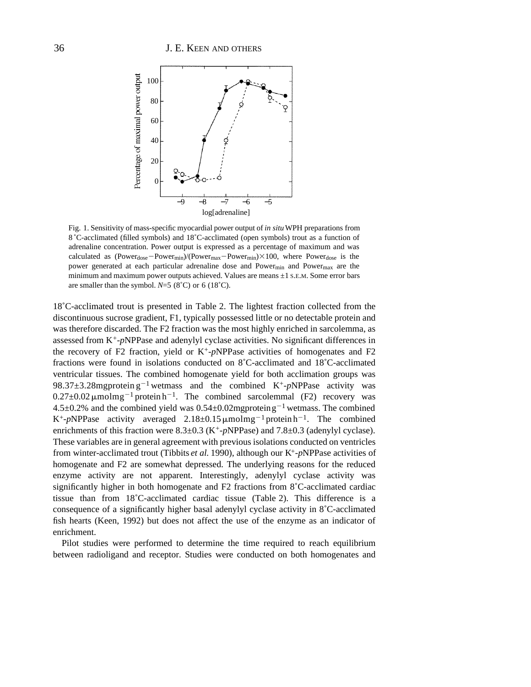

Fig. 1. Sensitivity of mass-specific myocardial power output of *in situ*WPH preparations from 8 ˚C-acclimated (filled symbols) and 18˚C-acclimated (open symbols) trout as a function of adrenaline concentration. Power output is expressed as a percentage of maximum and was calculated as (Power<sub>dose</sub>-Power<sub>min</sub>)/(Power<sub>max</sub>-Power<sub>min</sub>) $\times$ 100, where Powerdose is the power generated at each particular adrenaline dose and Powermin and Powermax are the minimum and maximum power outputs achieved. Values are means  $\pm 1$  S.E.M. Some error bars are smaller than the symbol.  $N=5$  (8°C) or 6 (18°C).

18˚C-acclimated trout is presented in Table 2. The lightest fraction collected from the discontinuous sucrose gradient, F1, typically possessed little or no detectable protein and was therefore discarded. The F2 fraction was the most highly enriched in sarcolemma, as assessed from K+-*p*NPPase and adenylyl cyclase activities. No significant differences in the recovery of F2 fraction, yield or K+-*p*NPPase activities of homogenates and F2 fractions were found in isolations conducted on 8˚C-acclimated and 18˚C-acclimated ventricular tissues. The combined homogenate yield for both acclimation groups was 98.37 $\pm$ 3.28mgprotein g<sup>-1</sup> wetmass and the combined K<sup>+</sup>-pNPPase activity was  $0.27 \pm 0.02 \,\mu\text{mol}\,\text{mg}^{-1}$  protein h<sup>-1</sup>. The combined sarcolemmal (F2) recovery was  $4.5\pm0.2\%$  and the combined yield was  $0.54\pm0.02$ mgproteing<sup>-1</sup> wetmass. The combined K<sup>+</sup>-pNPPase activity averaged  $2.18 \pm 0.15 \,\mu\text{mol}\,\text{mg}^{-1}$  protein h<sup>-1</sup>. The combined enrichments of this fraction were 8.3±0.3 (K+-*p*NPPase) and 7.8±0.3 (adenylyl cyclase). These variables are in general agreement with previous isolations conducted on ventricles from winter-acclimated trout (Tibbits *et al.* 1990), although our K+-*p*NPPase activities of homogenate and F2 are somewhat depressed. The underlying reasons for the reduced enzyme activity are not apparent. Interestingly, adenylyl cyclase activity was significantly higher in both homogenate and F2 fractions from 8˚C-acclimated cardiac tissue than from 18˚C-acclimated cardiac tissue (Table 2). This difference is a consequence of a significantly higher basal adenylyl cyclase activity in 8˚C-acclimated fish hearts (Keen, 1992) but does not affect the use of the enzyme as an indicator of enrichment.

Pilot studies were performed to determine the time required to reach equilibrium between radioligand and receptor. Studies were conducted on both homogenates and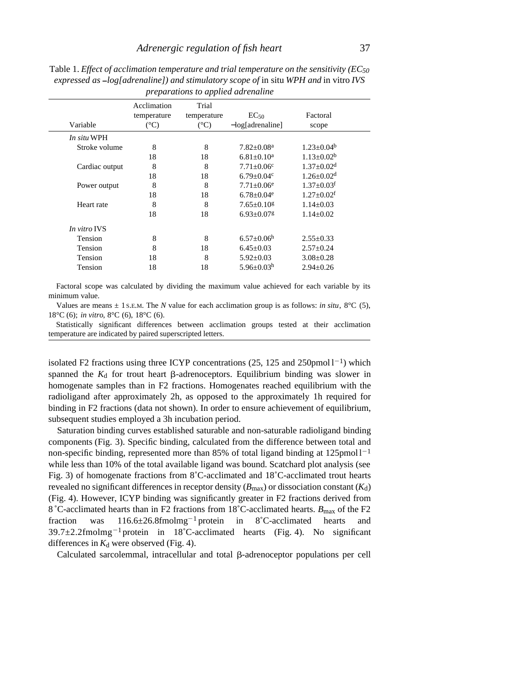|                |                                             | preparations to applica automatic     |                                         |                              |
|----------------|---------------------------------------------|---------------------------------------|-----------------------------------------|------------------------------|
| Variable       | Acclimation<br>temperature<br>$(^{\circ}C)$ | Trial<br>temperature<br>$(^{\circ}C)$ | $EC_{50}$<br>$-\log[\text{adrenaline}]$ | Factoral<br>scope            |
| In situ WPH    |                                             |                                       |                                         |                              |
| Stroke volume  | 8                                           | 8                                     | $7.82 \pm 0.08$ <sup>a</sup>            | $1.23 \pm 0.04^b$            |
|                | 18                                          | 18                                    | $6.81 + 0.10a$                          | $1.13 + 0.02^b$              |
| Cardiac output | 8                                           | 8                                     | $7.71 \pm 0.06$ c                       | $1.37 \pm 0.02$ <sup>d</sup> |
|                | 18                                          | 18                                    | $6.79 \pm 0.04$ c                       | $1.26 + 0.02d$               |
| Power output   | 8                                           | 8                                     | $7.71 \pm 0.06$ <sup>e</sup>            | $1.37 \pm 0.03$ <sup>f</sup> |
|                | 18                                          | 18                                    | $6.78 \pm 0.04$ <sup>e</sup>            | $1.27 + 0.02$ <sup>f</sup>   |
| Heart rate     | 8                                           | 8                                     | $7.65+0.10g$                            | $1.14 \pm 0.03$              |
|                | 18                                          | 18                                    | $6.93 \pm 0.07$ g                       | $1.14 \pm 0.02$              |
| In vitro IVS   |                                             |                                       |                                         |                              |
| Tension        | 8                                           | 8                                     | $6.57 \pm 0.06^{\rm h}$                 | $2.55 \pm 0.33$              |
| Tension        | 8                                           | 18                                    | $6.45 \pm 0.03$                         | $2.57 \pm 0.24$              |
| Tension        | 18                                          | 8                                     | $5.92 \pm 0.03$                         | $3.08 \pm 0.28$              |
| Tension        | 18                                          | 18                                    | $5.96 \pm 0.03$ h                       | $2.94 \pm 0.26$              |
|                |                                             |                                       |                                         |                              |

Table 1. *Effect of acclimation temperature and trial temperature on the sensitivity (EC50 expressed as log[adrenaline]) and stimulatory scope of* in situ *WPH and* in vitro *IVS preparations to applied adrenaline*

Factoral scope was calculated by dividing the maximum value achieved for each variable by its minimum value.

Values are means  $\pm$  1 s.E.M. The *N* value for each acclimation group is as follows: *in situ*,  $8^{\circ}$ C (5), 18°C (6); *in vitro*, 8°C (6), 18°C (6).

Statistically significant differences between acclimation groups tested at their acclimation temperature are indicated by paired superscripted letters.

isolated F2 fractions using three ICYP concentrations  $(25, 125 \text{ and } 250 \text{pmol } 1^{-1})$  which spanned the  $K_d$  for trout heart  $\beta$ -adrenoceptors. Equilibrium binding was slower in homogenate samples than in F2 fractions. Homogenates reached equilibrium with the radioligand after approximately 2h, as opposed to the approximately 1h required for binding in F2 fractions (data not shown). In order to ensure achievement of equilibrium, subsequent studies employed a 3h incubation period.

Saturation binding curves established saturable and non-saturable radioligand binding components (Fig. 3). Specific binding, calculated from the difference between total and non-specific binding, represented more than 85% of total ligand binding at  $125$ pmol $1^{-1}$ while less than 10% of the total available ligand was bound. Scatchard plot analysis (see Fig. 3) of homogenate fractions from 8˚C-acclimated and 18˚C-acclimated trout hearts revealed no significant differences in receptor density  $(B_{\text{max}})$  or dissociation constant  $(K_d)$ (Fig. 4). However, ICYP binding was significantly greater in F2 fractions derived from 8 °C-acclimated hearts than in F2 fractions from 18 °C-acclimated hearts.  $B_{\text{max}}$  of the F2 fraction was  $116.6\pm 26.8$ fmolmg<sup>-1</sup> protein in 8°C-acclimated hearts and  $39.7 \pm 2.2$  fmolmg<sup>-1</sup> protein in 18°C-acclimated hearts (Fig. 4). No significant differences in  $K_d$  were observed (Fig. 4).

 $Calculated$  sarcolemmal, intracellular and total  $\beta$ -adrenoceptor populations per cell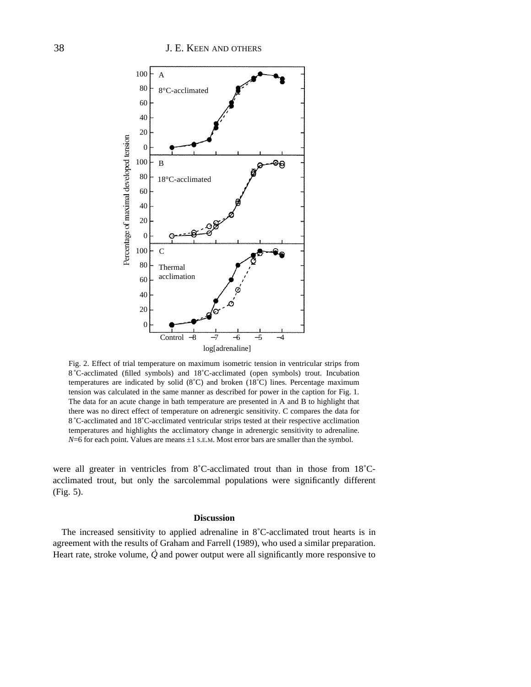

Fig. 2. Effect of trial temperature on maximum isometric tension in ventricular strips from 8 ˚C-acclimated (filled symbols) and 18˚C-acclimated (open symbols) trout. Incubation temperatures are indicated by solid (8˚C) and broken (18˚C) lines. Percentage maximum tension was calculated in the same manner as described for power in the caption for Fig. 1. The data for an acute change in bath temperature are presented in A and B to highlight that there was no direct effect of temperature on adrenergic sensitivity. C compares the data for 8 ˚C-acclimated and 18˚C-acclimated ventricular strips tested at their respective acclimation temperatures and highlights the acclimatory change in adrenergic sensitivity to adrenaline.  $N=6$  for each point. Values are means  $\pm 1$  S.E.M. Most error bars are smaller than the symbol.

were all greater in ventricles from 8˚C-acclimated trout than in those from 18˚Cacclimated trout, but only the sarcolemmal populations were significantly different (Fig. 5).

#### **Discussion**

The increased sensitivity to applied adrenaline in 8˚C-acclimated trout hearts is in agreement with the results of Graham and Farrell (1989), who used a similar preparation. . Heart rate, stroke volume, *Q* and power output were all significantly more responsive to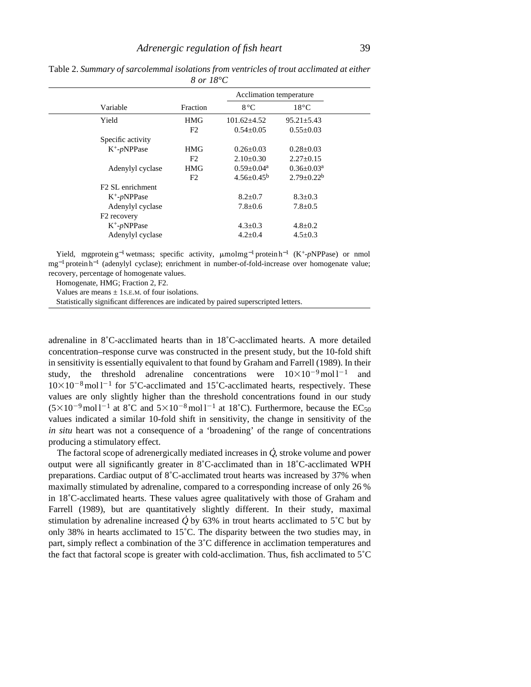|  |                              |                | Acclimation temperature |                   |  |  |
|--|------------------------------|----------------|-------------------------|-------------------|--|--|
|  | Variable                     | Fraction       | $8^{\circ}$ C           | $18^{\circ}$ C    |  |  |
|  | Yield                        | <b>HMG</b>     | $101.62 \pm 4.52$       | $95.21 \pm 5.43$  |  |  |
|  |                              | F <sub>2</sub> | $0.54 \pm 0.05$         | $0.55 \pm 0.03$   |  |  |
|  | Specific activity            |                |                         |                   |  |  |
|  | $K^+$ - $p$ NPPase           | HMG            | $0.26 \pm 0.03$         | $0.28 \pm 0.03$   |  |  |
|  |                              | F <sub>2</sub> | $2.10\pm0.30$           | $2.27 \pm 0.15$   |  |  |
|  | Adenylyl cyclase             | HMG            | $0.59 \pm 0.04^a$       | $0.36 \pm 0.03^a$ |  |  |
|  |                              | F <sub>2</sub> | $4.56 \pm 0.45^b$       | $2.79 \pm 0.22^b$ |  |  |
|  | F <sub>2</sub> SL enrichment |                |                         |                   |  |  |
|  | $K^+$ -pNPPase               |                | $8.2 \pm 0.7$           | $8.3 \pm 0.3$     |  |  |
|  | Adenylyl cyclase             |                | $7.8 \pm 0.6$           | $7.8 \pm 0.5$     |  |  |
|  | F <sub>2</sub> recovery      |                |                         |                   |  |  |
|  | $K^+$ -pNPPase               |                | $4.3 \pm 0.3$           | $4.8 \pm 0.2$     |  |  |
|  | Adenylyl cyclase             |                | $4.2 \pm 0.4$           | $4.5 \pm 0.3$     |  |  |
|  |                              |                |                         |                   |  |  |

Table 2. *Summary of sarcolemmal isolations from ventricles of trout acclimated at either 8 or 18°C*

Yield, mgprotein g<sup>-1</sup> wetmass; specific activity, μmolmg<sup>-1</sup> protein h<sup>-1</sup> (K<sup>+</sup>-*p*NPPase) or nmol mg<sup>-1</sup> protein h<sup>-1</sup> (adenylyl cyclase); enrichment in number-of-fold-increase over homogenate value; recovery, percentage of homogenate values.

Homogenate, HMG; Fraction 2, F2.

Values are means  $\pm$  1s.E.M. of four isolations.

Statistically significant differences are indicated by paired superscripted letters.

adrenaline in 8˚C-acclimated hearts than in 18˚C-acclimated hearts. A more detailed concentration–response curve was constructed in the present study, but the 10-fold shift in sensitivity is essentially equivalent to that found by Graham and Farrell (1989). In their study, the threshold adrenaline concentrations were  $10\times10^{-9}$  moll<sup>-1</sup> and  $10\times10^{-8}$  mol l<sup>-1</sup> for 5°C-acclimated and 15°C-acclimated hearts, respectively. These values are only slightly higher than the threshold concentrations found in our study  $(5\times10^{-9} \text{mol}^{-1}$  at 8°C and  $5\times10^{-8} \text{mol}^{-1}$  at 18°C). Furthermore, because the EC<sub>50</sub> values indicated a similar 10-fold shift in sensitivity, the change in sensitivity of the *in situ* heart was not a consequence of a 'broadening' of the range of concentrations producing a stimulatory effect. .<br>.

The factoral scope of adrenergically mediated increases in *Q* , stroke volume and power output were all significantly greater in 8˚C-acclimated than in 18˚C-acclimated WPH preparations. Cardiac output of 8˚C-acclimated trout hearts was increased by 37% when maximally stimulated by adrenaline, compared to a corresponding increase of only 26 % in 18˚C-acclimated hearts. These values agree qualitatively with those of Graham and Farrell (1989), but are quantitatively slightly different. In their study, maximal stimulation by adrenaline increased  $\dot{Q}$  by 63% in trout hearts acclimated to 5<sup>°</sup>C but by only 38% in hearts acclimated to  $15^{\circ}$ C. The disparity between the two studies may, in part, simply reflect a combination of the 3˚C difference in acclimation temperatures and the fact that factoral scope is greater with cold-acclimation. Thus, fish acclimated to 5˚C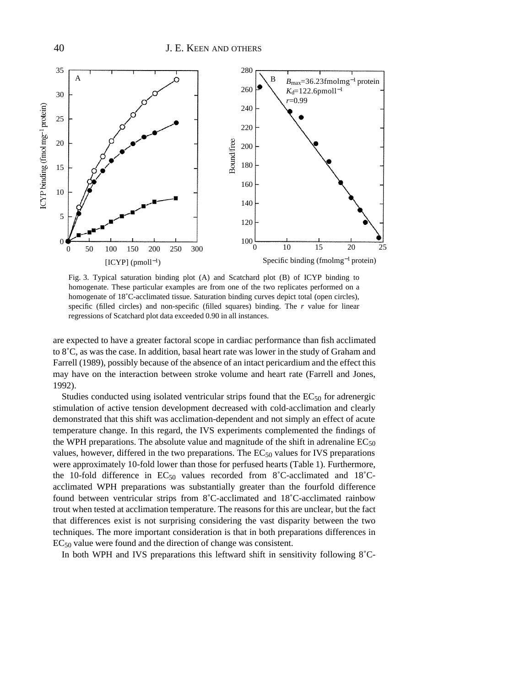

Fig. 3. Typical saturation binding plot (A) and Scatchard plot (B) of ICYP binding to homogenate. These particular examples are from one of the two replicates performed on a homogenate of 18˚C-acclimated tissue. Saturation binding curves depict total (open circles), specific (filled circles) and non-specific (filled squares) binding. The *r* value for linear regressions of Scatchard plot data exceeded 0.90 in all instances.

are expected to have a greater factoral scope in cardiac performance than fish acclimated to 8˚C, as was the case. In addition, basal heart rate was lower in the study of Graham and Farrell (1989), possibly because of the absence of an intact pericardium and the effect this may have on the interaction between stroke volume and heart rate (Farrell and Jones, 1992).

Studies conducted using isolated ventricular strips found that the  $EC_{50}$  for adrenergic stimulation of active tension development decreased with cold-acclimation and clearly demonstrated that this shift was acclimation-dependent and not simply an effect of acute temperature change. In this regard, the IVS experiments complemented the findings of the WPH preparations. The absolute value and magnitude of the shift in adrenaline  $EC_{50}$ values, however, differed in the two preparations. The  $EC_{50}$  values for IVS preparations were approximately 10-fold lower than those for perfused hearts (Table 1). Furthermore, the 10-fold difference in  $EC_{50}$  values recorded from 8°C-acclimated and 18°Cacclimated WPH preparations was substantially greater than the fourfold difference found between ventricular strips from 8˚C-acclimated and 18˚C-acclimated rainbow trout when tested at acclimation temperature. The reasons for this are unclear, but the fact that differences exist is not surprising considering the vast disparity between the two techniques. The more important consideration is that in both preparations differences in EC50 value were found and the direction of change was consistent.

In both WPH and IVS preparations this leftward shift in sensitivity following 8˚C-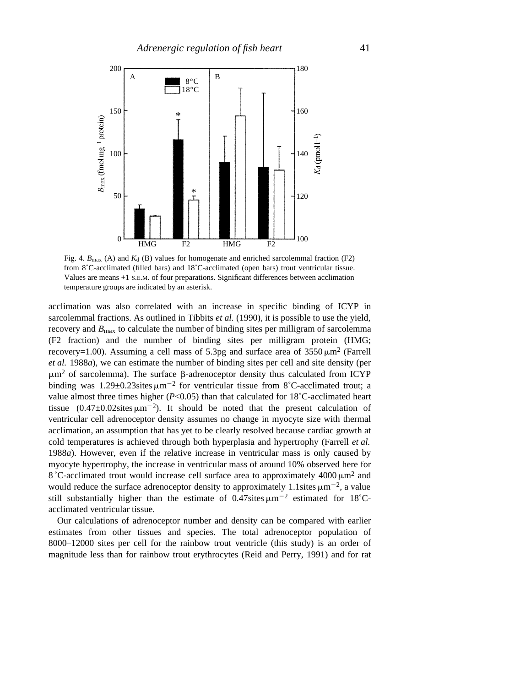

Fig. 4.  $B_{\text{max}}$  (A) and  $K_d$  (B) values for homogenate and enriched sarcolemmal fraction (F2) from 8˚C-acclimated (filled bars) and 18˚C-acclimated (open bars) trout ventricular tissue. Values are means +1 S.E.M. of four preparations. Significant differences between acclimation temperature groups are indicated by an asterisk.

acclimation was also correlated with an increase in specific binding of ICYP in sarcolemmal fractions. As outlined in Tibbits *et al.* (1990), it is possible to use the yield, recovery and *B*max to calculate the number of binding sites per milligram of sarcolemma (F2 fraction) and the number of binding sites per milligram protein (HMG; recovery=1.00). Assuming a cell mass of 5.3pg and surface area of  $3550 \,\mu m^2$  (Farrell *et al.* 1988*a*), we can estimate the number of binding sites per cell and site density (per  $\mu$ m<sup>2</sup> of sarcolemma). The surface  $\beta$ -adrenoceptor density thus calculated from ICYP binding was  $1.29 \pm 0.23$ sites  $\mu$ m<sup>-2</sup> for ventricular tissue from 8°C-acclimated trout; a value almost three times higher  $(P<0.05)$  than that calculated for 18°C-acclimated heart tissue  $(0.47 \pm 0.02 \text{sites} \,\mu\text{m}^{-2})$ . It should be noted that the present calculation of ventricular cell adrenoceptor density assumes no change in myocyte size with thermal acclimation, an assumption that has yet to be clearly resolved because cardiac growth at cold temperatures is achieved through both hyperplasia and hypertrophy (Farrell *et al.* 1988*a*). However, even if the relative increase in ventricular mass is only caused by myocyte hypertrophy, the increase in ventricular mass of around 10% observed here for 8 °C-acclimated trout would increase cell surface area to approximately  $4000 \mu m^2$  and would reduce the surface adrenoceptor density to approximately 1.1sites  $\mu$ m<sup>-2</sup>, a value still substantially higher than the estimate of  $0.47$ sites  $\mu$ m<sup>-2</sup> estimated for 18<sup>°</sup>Cacclimated ventricular tissue.

Our calculations of adrenoceptor number and density can be compared with earlier estimates from other tissues and species. The total adrenoceptor population of 8000–12000 sites per cell for the rainbow trout ventricle (this study) is an order of magnitude less than for rainbow trout erythrocytes (Reid and Perry, 1991) and for rat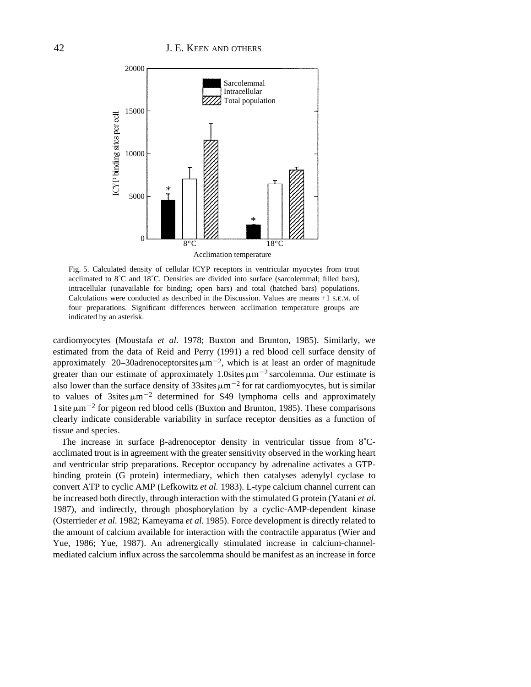

Fig. 5. Calculated density of cellular ICYP receptors in ventricular myocytes from trout acclimated to 8˚C and 18˚C. Densities are divided into surface (sarcolemmal; filled bars), intracellular (unavailable for binding; open bars) and total (hatched bars) populations. Calculations were conducted as described in the Discussion. Values are means +1 S.E.M. of four preparations. Significant differences between acclimation temperature groups are indicated by an asterisk.

cardiomyocytes (Moustafa *et al.* 1978; Buxton and Brunton, 1985). Similarly, we estimated from the data of Reid and Perry (1991) a red blood cell surface density of approximately 20–30adrenoceptorsites  $\mu$ m<sup>-2</sup>, which is at least an order of magnitude greater than our estimate of approximately 1.0sites  $\mu$ m<sup>-2</sup> sarcolemma. Our estimate is also lower than the surface density of 33sites  $\mu$ m<sup>-2</sup> for rat cardiomyocytes, but is similar to values of 3sites  $\mu$ m<sup>-2</sup> determined for S49 lymphoma cells and approximately 1 site  $\mu$ m<sup>-2</sup> for pigeon red blood cells (Buxton and Brunton, 1985). These comparisons clearly indicate considerable variability in surface receptor densities as a function of tissue and species.

The increase in surface  $\beta$ -adrenoceptor density in ventricular tissue from 8<sup>°</sup>Cacclimated trout is in agreement with the greater sensitivity observed in the working heart and ventricular strip preparations. Receptor occupancy by adrenaline activates a GTPbinding protein (G protein) intermediary, which then catalyses adenylyl cyclase to convert ATP to cyclic AMP (Lefkowitz *et al.* 1983). L-type calcium channel current can be increased both directly, through interaction with the stimulated G protein (Yatani *et al.* 1987), and indirectly, through phosphorylation by a cyclic-AMP-dependent kinase (Osterrieder *et al.* 1982; Kameyama *et al.* 1985). Force development is directly related to the amount of calcium available for interaction with the contractile apparatus (Wier and Yue, 1986; Yue, 1987). An adrenergically stimulated increase in calcium-channelmediated calcium influx across the sarcolemma should be manifest as an increase in force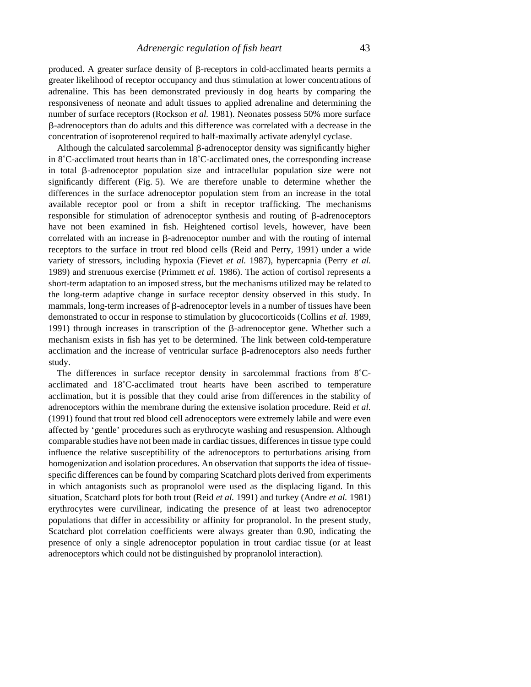produced. A greater surface density of  $\beta$ -receptors in cold-acclimated hearts permits a greater likelihood of receptor occupancy and thus stimulation at lower concentrations of adrenaline. This has been demonstrated previously in dog hearts by comparing the responsiveness of neonate and adult tissues to applied adrenaline and determining the number of surface receptors (Rockson *et al.* 1981). Neonates possess 50% more surface b-adrenoceptors than do adults and this difference was correlated with a decrease in the concentration of isoproterenol required to half-maximally activate adenylyl cyclase.

Although the calculated sarcolemmal  $\beta$ -adrenoceptor density was significantly higher in 8˚C-acclimated trout hearts than in 18˚C-acclimated ones, the corresponding increase in total  $\beta$ -adrenoceptor population size and intracellular population size were not significantly different (Fig. 5). We are therefore unable to determine whether the differences in the surface adrenoceptor population stem from an increase in the total available receptor pool or from a shift in receptor trafficking. The mechanisms responsible for stimulation of adrenoceptor synthesis and routing of b-adrenoceptors have not been examined in fish. Heightened cortisol levels, however, have been correlated with an increase in  $\beta$ -adrenoceptor number and with the routing of internal receptors to the surface in trout red blood cells (Reid and Perry, 1991) under a wide variety of stressors, including hypoxia (Fievet *et al.* 1987), hypercapnia (Perry *et al.* 1989) and strenuous exercise (Primmett *et al.* 1986). The action of cortisol represents a short-term adaptation to an imposed stress, but the mechanisms utilized may be related to the long-term adaptive change in surface receptor density observed in this study. In mammals, long-term increases of  $\beta$ -adrenoceptor levels in a number of tissues have been demonstrated to occur in response to stimulation by glucocorticoids (Collins *et al.* 1989, 1991) through increases in transcription of the  $\beta$ -adrenoceptor gene. Whether such a mechanism exists in fish has yet to be determined. The link between cold-temperature acclimation and the increase of ventricular surface  $\beta$ -adrenoceptors also needs further study.

The differences in surface receptor density in sarcolemmal fractions from 8˚Cacclimated and 18˚C-acclimated trout hearts have been ascribed to temperature acclimation, but it is possible that they could arise from differences in the stability of adrenoceptors within the membrane during the extensive isolation procedure. Reid *et al.* (1991) found that trout red blood cell adrenoceptors were extremely labile and were even affected by 'gentle' procedures such as erythrocyte washing and resuspension. Although comparable studies have not been made in cardiac tissues, differences in tissue type could influence the relative susceptibility of the adrenoceptors to perturbations arising from homogenization and isolation procedures. An observation that supports the idea of tissuespecific differences can be found by comparing Scatchard plots derived from experiments in which antagonists such as propranolol were used as the displacing ligand. In this situation, Scatchard plots for both trout (Reid *et al.* 1991) and turkey (Andre *et al.* 1981) erythrocytes were curvilinear, indicating the presence of at least two adrenoceptor populations that differ in accessibility or affinity for propranolol. In the present study, Scatchard plot correlation coefficients were always greater than 0.90, indicating the presence of only a single adrenoceptor population in trout cardiac tissue (or at least adrenoceptors which could not be distinguished by propranolol interaction).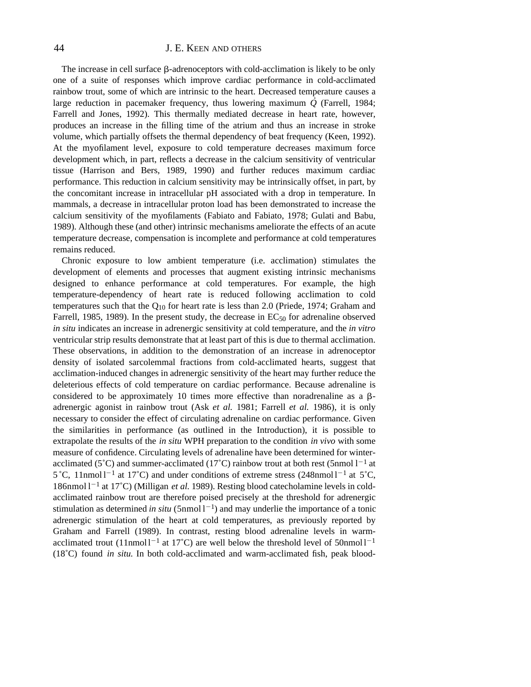# 44 J. E. KEEN AND OTHERS

The increase in cell surface  $\beta$ -adrenoceptors with cold-acclimation is likely to be only one of a suite of responses which improve cardiac performance in cold-acclimated rainbow trout, some of which are intrinsic to the heart. Decreased temperature causes a large reduction in pacemaker frequency, thus lowering maximum *Q* (Farrell, 1984; Farrell and Jones, 1992). This thermally mediated decrease in heart rate, however, produces an increase in the filling time of the atrium and thus an increase in stroke volume, which partially offsets the thermal dependency of beat frequency (Keen, 1992). At the myofilament level, exposure to cold temperature decreases maximum force development which, in part, reflects a decrease in the calcium sensitivity of ventricular tissue (Harrison and Bers, 1989, 1990) and further reduces maximum cardiac performance. This reduction in calcium sensitivity may be intrinsically offset, in part, by the concomitant increase in intracellular pH associated with a drop in temperature. In mammals, a decrease in intracellular proton load has been demonstrated to increase the calcium sensitivity of the myofilaments (Fabiato and Fabiato, 1978; Gulati and Babu, 1989). Although these (and other) intrinsic mechanisms ameliorate the effects of an acute temperature decrease, compensation is incomplete and performance at cold temperatures remains reduced.

Chronic exposure to low ambient temperature (i.e. acclimation) stimulates the development of elements and processes that augment existing intrinsic mechanisms designed to enhance performance at cold temperatures. For example, the high temperature-dependency of heart rate is reduced following acclimation to cold temperatures such that the  $Q_{10}$  for heart rate is less than 2.0 (Priede, 1974; Graham and Farrell, 1985, 1989). In the present study, the decrease in  $EC_{50}$  for adrenaline observed *in situ* indicates an increase in adrenergic sensitivity at cold temperature, and the *in vitro* ventricular strip results demonstrate that at least part of this is due to thermal acclimation. These observations, in addition to the demonstration of an increase in adrenoceptor density of isolated sarcolemmal fractions from cold-acclimated hearts, suggest that acclimation-induced changes in adrenergic sensitivity of the heart may further reduce the deleterious effects of cold temperature on cardiac performance. Because adrenaline is considered to be approximately 10 times more effective than noradrenaline as a  $\beta$ adrenergic agonist in rainbow trout (Ask *et al.* 1981; Farrell *et al.* 1986), it is only necessary to consider the effect of circulating adrenaline on cardiac performance. Given the similarities in performance (as outlined in the Introduction), it is possible to extrapolate the results of the *in situ* WPH preparation to the condition *in vivo* with some measure of confidence. Circulating levels of adrenaline have been determined for winteracclimated (5<sup>°</sup>C) and summer-acclimated (17<sup>°</sup>C) rainbow trout at both rest (5nmol  $1^{-1}$  at  $5^{\circ}$ C, 11nmol l<sup>-1</sup> at 17<sup>°</sup>C) and under conditions of extreme stress (248nmol l<sup>-1</sup> at 5<sup>°</sup>C, 186nmol l<sup>-1</sup> at 17°C) (Milligan *et al.* 1989). Resting blood catecholamine levels in coldacclimated rainbow trout are therefore poised precisely at the threshold for adrenergic stimulation as determined *in situ* ( $5$ nmol $1^{-1}$ ) and may underlie the importance of a tonic adrenergic stimulation of the heart at cold temperatures, as previously reported by Graham and Farrell (1989). In contrast, resting blood adrenaline levels in warmacclimated trout (11nmol  $1^{-1}$  at 17<sup>°</sup>C) are well below the threshold level of 50nmol  $1^{-1}$ (18˚C) found *in situ*. In both cold-acclimated and warm-acclimated fish, peak blood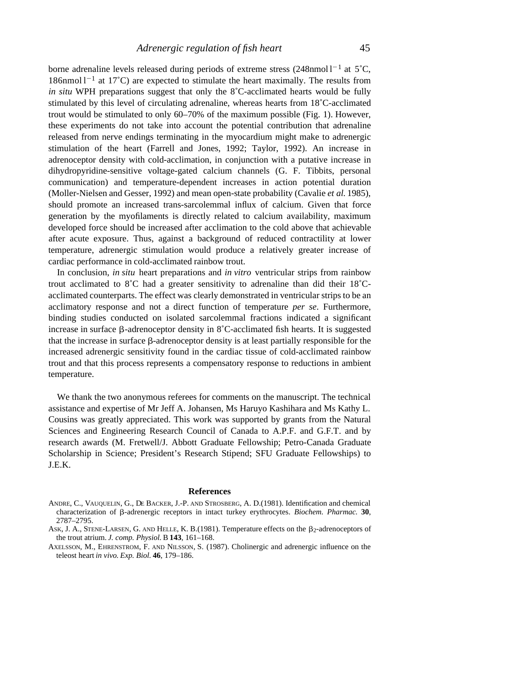borne adrenaline levels released during periods of extreme stress  $(248nmol<sup>1</sup>]<sup>-1</sup>$  at 5°C,  $186$ nmol  $1^{-1}$  at  $17^{\circ}$ C) are expected to stimulate the heart maximally. The results from *in situ* WPH preparations suggest that only the 8˚C-acclimated hearts would be fully stimulated by this level of circulating adrenaline, whereas hearts from 18˚C-acclimated trout would be stimulated to only 60–70% of the maximum possible (Fig. 1). However, these experiments do not take into account the potential contribution that adrenaline released from nerve endings terminating in the myocardium might make to adrenergic stimulation of the heart (Farrell and Jones, 1992; Taylor, 1992). An increase in adrenoceptor density with cold-acclimation, in conjunction with a putative increase in dihydropyridine-sensitive voltage-gated calcium channels (G. F. Tibbits, personal communication) and temperature-dependent increases in action potential duration (Moller-Nielsen and Gesser, 1992) and mean open-state probability (Cavalie *et al.* 1985), should promote an increased trans-sarcolemmal influx of calcium. Given that force generation by the myofilaments is directly related to calcium availability, maximum developed force should be increased after acclimation to the cold above that achievable after acute exposure. Thus, against a background of reduced contractility at lower temperature, adrenergic stimulation would produce a relatively greater increase of cardiac performance in cold-acclimated rainbow trout.

In conclusion, *in situ* heart preparations and *in vitro* ventricular strips from rainbow trout acclimated to 8˚C had a greater sensitivity to adrenaline than did their 18˚Cacclimated counterparts. The effect was clearly demonstrated in ventricular strips to be an acclimatory response and not a direct function of temperature *per se*. Furthermore, binding studies conducted on isolated sarcolemmal fractions indicated a significant increase in surface  $\beta$ -adrenoceptor density in 8°C-acclimated fish hearts. It is suggested that the increase in surface  $\beta$ -adrenoceptor density is at least partially responsible for the increased adrenergic sensitivity found in the cardiac tissue of cold-acclimated rainbow trout and that this process represents a compensatory response to reductions in ambient temperature.

We thank the two anonymous referees for comments on the manuscript. The technical assistance and expertise of Mr Jeff A. Johansen, Ms Haruyo Kashihara and Ms Kathy L. Cousins was greatly appreciated. This work was supported by grants from the Natural Sciences and Engineering Research Council of Canada to A.P.F. and G.F.T. and by research awards (M. Fretwell/J. Abbott Graduate Fellowship; Petro-Canada Graduate Scholarship in Science; President's Research Stipend; SFU Graduate Fellowships) to J.E.K.

#### **References**

- ANDRE, C., VAUQUELIN, G., DE BACKER, J.-P. AND STROSBERG, A. D.(1981). Identification and chemical characterization of b-adrenergic receptors in intact turkey erythrocytes. *Biochem. Pharmac.* **30**, 2787–2795.
- ASK, J. A., STENE-LARSEN, G. AND HELLE, K. B. (1981). Temperature effects on the  $\beta_2$ -adrenoceptors of the trout atrium. *J. comp. Physiol.* B **143**, 161–168.
- AXELSSON, M., EHRENSTROM, F. AND NILSSON, S. (1987). Cholinergic and adrenergic influence on the teleost heart *in vivo*. *Exp. Biol.* **46**, 179–186.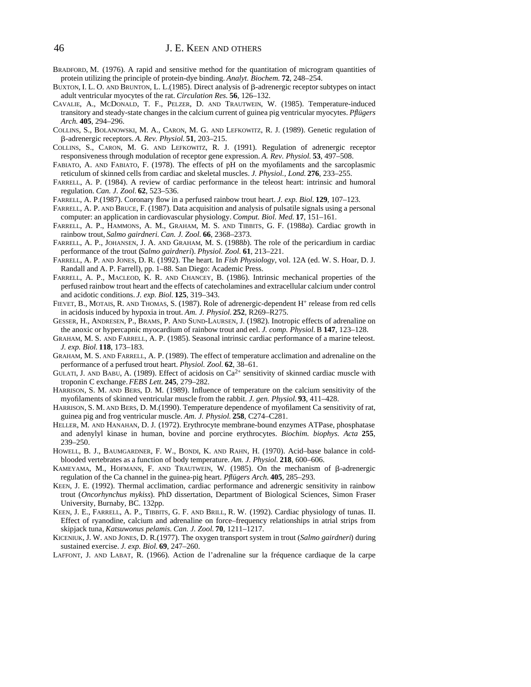- BRADFORD, M. (1976). A rapid and sensitive method for the quantitation of microgram quantities of protein utilizing the principle of protein-dye binding. *Analyt. Biochem.* **72**, 248–254.
- BUXTON, I. L. O. AND BRUNTON, L. L. (1985). Direct analysis of  $\beta$ -adrenergic receptor subtypes on intact adult ventricular myocytes of the rat. *Circulation Res.* **56**, 126–132.
- CAVALIE, A., MCDONALD, T. F., PELZER, D. AND TRAUTWEIN, W. (1985). Temperature-induced transitory and steady-state changes in the calcium current of guinea pig ventricular myocytes. *Pflügers Arch.* **405**, 294–296.
- COLLINS, S., BOLANOWSKI, M. A., CARON, M. G. AND LEFKOWITZ, R. J. (1989). Genetic regulation of b-adrenergic receptors. *A. Rev. Physiol.* **51**, 203–215.
- COLLINS, S., CARON, M. G. AND LEFKOWITZ, R. J. (1991). Regulation of adrenergic receptor responsiveness through modulation of receptor gene expression. *A. Rev. Physiol.* **53**, 497–508.
- FABIATO, A. AND FABIATO, F. (1978). The effects of pH on the myofilaments and the sarcoplasmic reticulum of skinned cells from cardiac and skeletal muscles. *J. Physiol., Lond.* **276**, 233–255.
- FARRELL, A. P. (1984). A review of cardiac performance in the teleost heart: intrinsic and humoral regulation. *Can. J. Zool.* **62**, 523–536.
- FARRELL, A. P.(1987). Coronary flow in a perfused rainbow trout heart. *J. exp. Biol.* **129**, 107–123.
- FARRELL, A. P. AND BRUCE, F. (1987). Data acquisition and analysis of pulsatile signals using a personal computer: an application in cardiovascular physiology. *Comput. Biol. Med.* **17**, 151–161.
- FARRELL, A. P., HAMMONS, A. M., GRAHAM, M. S. AND TIBBITS, G. F. (1988*a*). Cardiac growth in rainbow trout, *Salmo gairdneri*. *Can. J. Zool.* **66**, 2368–2373.
- FARRELL, A. P., JOHANSEN, J. A. AND GRAHAM, M. S. (1988*b*). The role of the pericardium in cardiac performance of the trout (*Salmo gairdneri*). *Physiol. Zool.* **61**, 213–221.
- FARRELL, A. P. AND JONES, D. R. (1992). The heart. In *Fish Physiology*, vol. 12A (ed. W. S. Hoar, D. J. Randall and A. P. Farrell), pp. 1–88. San Diego: Academic Press.
- FARRELL, A. P., MACLEOD, K. R. AND CHANCEY, B. (1986). Intrinsic mechanical properties of the perfused rainbow trout heart and the effects of catecholamines and extracellular calcium under control and acidotic conditions. *J. exp. Biol.* **125**, 319–343.
- FIEVET, B., MOTAIS, R. AND THOMAS, S. (1987). Role of adrenergic-dependent H<sup>+</sup> release from red cells in acidosis induced by hypoxia in trout. *Am. J. Physiol.* **252**, R269–R275.
- GESSER, H., ANDRESEN, P., BRAMS, P. AND SUND-LAURSEN, J. (1982). Inotropic effects of adrenaline on the anoxic or hypercapnic myocardium of rainbow trout and eel. *J. comp. Physiol.* B **147**, 123–128.
- GRAHAM, M. S. AND FARRELL, A. P. (1985). Seasonal intrinsic cardiac performance of a marine teleost. *J. exp. Biol.* **118**, 173–183.
- GRAHAM, M. S. AND FARRELL, A. P. (1989). The effect of temperature acclimation and adrenaline on the performance of a perfused trout heart. *Physiol. Zool.* **62**, 38–61.
- GULATI, J. AND BABU, A. (1989). Effect of acidosis on  $Ca^{2+}$  sensitivity of skinned cardiac muscle with troponin C exchange. *FEBS Lett.* **245**, 279–282.
- HARRISON, S. M. AND BERS, D. M. (1989). Influence of temperature on the calcium sensitivity of the myofilaments of skinned ventricular muscle from the rabbit. *J. gen. Physiol.* **93**, 411–428.
- HARRISON, S. M. AND BERS, D. M.(1990). Temperature dependence of myofilament Ca sensitivity of rat, guinea pig and frog ventricular muscle. *Am. J. Physiol.* **258**, C274–C281.
- HELLER, M. AND HANAHAN, D. J. (1972). Erythrocyte membrane-bound enzymes ATPase, phosphatase and adenylyl kinase in human, bovine and porcine erythrocytes. *Biochim. biophys. Acta* **255**, 239–250.
- HOWELL, B. J., BAUMGARDNER, F. W., BONDI, K. AND RAHN, H. (1970). Acid–base balance in coldblooded vertebrates as a function of body temperature. *Am. J. Physiol.* **218**, 600–606.
- KAMEYAMA, M., HOFMANN, F. AND TRAUTWEIN, W. (1985). On the mechanism of  $\beta$ -adrenergic regulation of the Ca channel in the guinea-pig heart. *Pflügers Arch.* **405**, 285–293.
- KEEN, J. E. (1992). Thermal acclimation, cardiac performance and adrenergic sensitivity in rainbow trout (*Oncorhynchus mykiss*). PhD dissertation, Department of Biological Sciences, Simon Fraser University, Burnaby, BC. 132pp.
- KEEN, J. E., FARRELL, A. P., TIBBITS, G. F. AND BRILL, R. W. (1992). Cardiac physiology of tunas. II. Effect of ryanodine, calcium and adrenaline on force–frequency relationships in atrial strips from skipjack tuna, *Katsuwonus pelamis*. *Can. J. Zool.* **70**, 1211–1217.
- KICENIUK, J. W. AND JONES, D. R.(1977). The oxygen transport system in trout (*Salmo gairdneri*) during sustained exercise. *J. exp. Biol.* **69**, 247–260.
- LAFFONT, J. AND LABAT, R. (1966). Action de l'adrenaline sur la fréquence cardiaque de la carpe